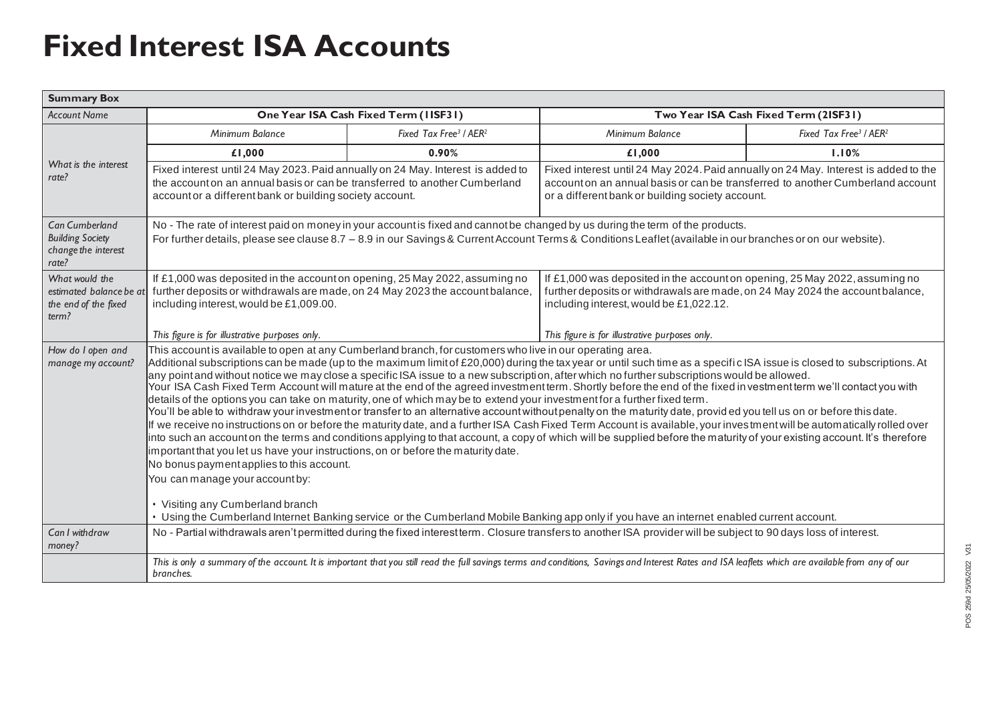## **Fixed Interest ISA Accounts**

| <b>Summary Box</b>                                                               |                                                                                                                                                                                                                                                                                                                                                                                                                                                                                                                                                                                                                                                                                                                                                                                                                                                                                                                                                                                                                                                                                                                                                                                                                                                                                                                                                                                                                                                                                                                                                                                                                             |                                                |                                                                                                                                                                                                                           |                                                |
|----------------------------------------------------------------------------------|-----------------------------------------------------------------------------------------------------------------------------------------------------------------------------------------------------------------------------------------------------------------------------------------------------------------------------------------------------------------------------------------------------------------------------------------------------------------------------------------------------------------------------------------------------------------------------------------------------------------------------------------------------------------------------------------------------------------------------------------------------------------------------------------------------------------------------------------------------------------------------------------------------------------------------------------------------------------------------------------------------------------------------------------------------------------------------------------------------------------------------------------------------------------------------------------------------------------------------------------------------------------------------------------------------------------------------------------------------------------------------------------------------------------------------------------------------------------------------------------------------------------------------------------------------------------------------------------------------------------------------|------------------------------------------------|---------------------------------------------------------------------------------------------------------------------------------------------------------------------------------------------------------------------------|------------------------------------------------|
| <b>Account Name</b>                                                              | One Year ISA Cash Fixed Term (IISF31)                                                                                                                                                                                                                                                                                                                                                                                                                                                                                                                                                                                                                                                                                                                                                                                                                                                                                                                                                                                                                                                                                                                                                                                                                                                                                                                                                                                                                                                                                                                                                                                       |                                                | Two Year ISA Cash Fixed Term (2ISF31)                                                                                                                                                                                     |                                                |
| What is the interest<br>rate?                                                    | Minimum Balance                                                                                                                                                                                                                                                                                                                                                                                                                                                                                                                                                                                                                                                                                                                                                                                                                                                                                                                                                                                                                                                                                                                                                                                                                                                                                                                                                                                                                                                                                                                                                                                                             | Fixed Tax Free <sup>3</sup> / AER <sup>2</sup> | Minimum Balance                                                                                                                                                                                                           | Fixed Tax Free <sup>3</sup> / AER <sup>2</sup> |
|                                                                                  | £1,000                                                                                                                                                                                                                                                                                                                                                                                                                                                                                                                                                                                                                                                                                                                                                                                                                                                                                                                                                                                                                                                                                                                                                                                                                                                                                                                                                                                                                                                                                                                                                                                                                      | 0.90%                                          | £1,000                                                                                                                                                                                                                    | 1.10%                                          |
|                                                                                  | Fixed interest until 24 May 2023. Paid annually on 24 May. Interest is added to<br>the account on an annual basis or can be transferred to another Cumberland<br>account or a different bank or building society account.                                                                                                                                                                                                                                                                                                                                                                                                                                                                                                                                                                                                                                                                                                                                                                                                                                                                                                                                                                                                                                                                                                                                                                                                                                                                                                                                                                                                   |                                                | Fixed interest until 24 May 2024. Paid annually on 24 May. Interest is added to the<br>account on an annual basis or can be transferred to another Cumberland account<br>or a different bank or building society account. |                                                |
| <b>Can Cumberland</b><br><b>Building Society</b><br>change the interest<br>rate? | No - The rate of interest paid on money in your account is fixed and cannot be changed by us during the term of the products.<br>For further details, please see clause 8.7 - 8.9 in our Savings & Current Account Terms & Conditions Leaflet (available in our branches or on our website).                                                                                                                                                                                                                                                                                                                                                                                                                                                                                                                                                                                                                                                                                                                                                                                                                                                                                                                                                                                                                                                                                                                                                                                                                                                                                                                                |                                                |                                                                                                                                                                                                                           |                                                |
| What would the<br>estimated balance be at<br>the end of the fixed<br>term?       | If £1,000 was deposited in the account on opening, 25 May 2022, assuming no<br>further deposits or withdrawals are made, on 24 May 2023 the account balance,<br>including interest, would be £1,009.00.                                                                                                                                                                                                                                                                                                                                                                                                                                                                                                                                                                                                                                                                                                                                                                                                                                                                                                                                                                                                                                                                                                                                                                                                                                                                                                                                                                                                                     |                                                | If £1,000 was deposited in the account on opening, 25 May 2022, assuming no<br>further deposits or withdrawals are made, on 24 May 2024 the account balance,<br>including interest, would be £1,022.12.                   |                                                |
|                                                                                  | This figure is for illustrative purposes only.                                                                                                                                                                                                                                                                                                                                                                                                                                                                                                                                                                                                                                                                                                                                                                                                                                                                                                                                                                                                                                                                                                                                                                                                                                                                                                                                                                                                                                                                                                                                                                              |                                                | This figure is for illustrative purposes only.                                                                                                                                                                            |                                                |
| How do I open and<br>manage my account?                                          | This account is available to open at any Cumberland branch, for customers who live in our operating area.<br>Additional subscriptions can be made (up to the maximum limit of £20,000) during the tax year or until such time as a specific ISA issue is closed to subscriptions. At<br>any pointand without notice we may close a specific ISA issue to a new subscription, after which no further subscriptions would be allowed.<br>Your ISA Cash Fixed Term Account will mature at the end of the agreed investment term. Shortly before the end of the fixed investment term we'll contact you with<br>details of the options you can take on maturity, one of which may be to extend your investment for a further fixed term.<br>You'll be able to withdraw your investment or transfer to an alternative account without penalty on the maturity date, provid ed you tell us on or before this date.<br>If we receive no instructions on or before the maturity date, and a further ISA Cash Fixed Term Account is available, your inves tment will be automatically rolled over<br>into such an account on the terms and conditions applying to that account, a copy of which will be supplied before the maturity of your existing account. It's therefore<br>important that you let us have your instructions, on or before the maturity date.<br>No bonus payment applies to this account.<br>You can manage your account by:<br>• Visiting any Cumberland branch<br>• Using the Cumberland Internet Banking service or the Cumberland Mobile Banking app only if you have an internet enabled current account. |                                                |                                                                                                                                                                                                                           |                                                |
| Can I withdraw<br>money?                                                         | No - Partial withdrawals aren't permitted during the fixed interest term. Closure transfers to another ISA provider will be subject to 90 days loss of interest.                                                                                                                                                                                                                                                                                                                                                                                                                                                                                                                                                                                                                                                                                                                                                                                                                                                                                                                                                                                                                                                                                                                                                                                                                                                                                                                                                                                                                                                            |                                                |                                                                                                                                                                                                                           |                                                |
|                                                                                  | This is only a summary of the account. It is important that you still read the full savings terms and conditions, Savings and Interest Rates and ISA leaflets which are available from any of our<br>branches.                                                                                                                                                                                                                                                                                                                                                                                                                                                                                                                                                                                                                                                                                                                                                                                                                                                                                                                                                                                                                                                                                                                                                                                                                                                                                                                                                                                                              |                                                |                                                                                                                                                                                                                           |                                                |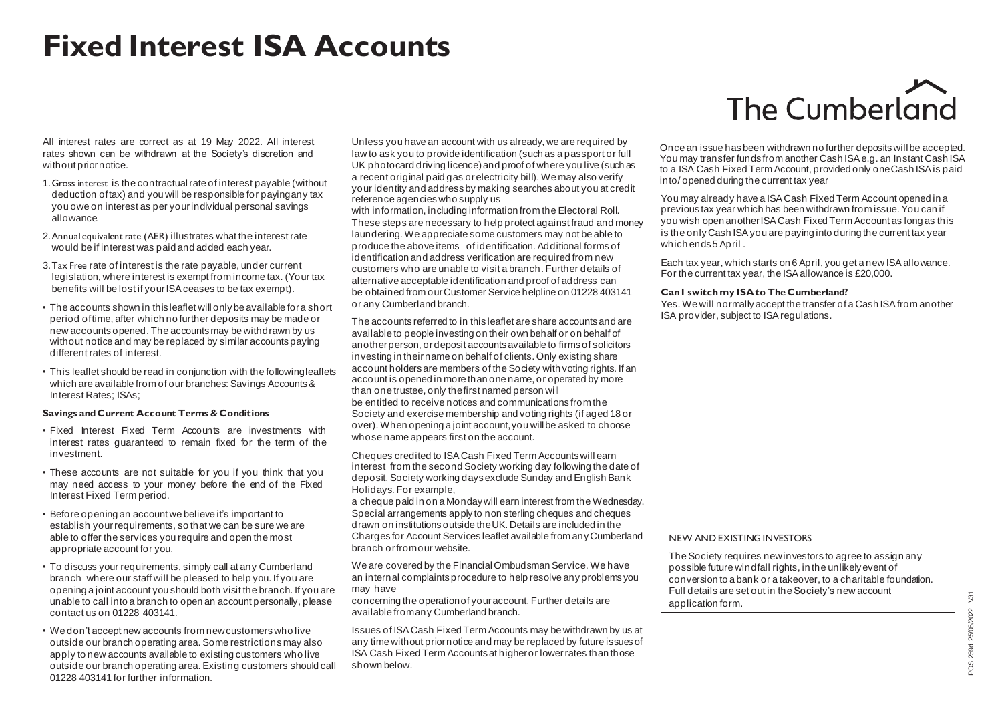## **Fixed Interest ISA Accounts**

All interest rates are correct as at 19 May 2022. All interest rates shown can be withdrawn at the Society's discretion and without prior notice.

- 1.Gross interest is the contractual rate of interest payable (without deduction of tax) and you will be responsible for paying any tax you owe on interest as per your individual personal savings allowance.
- 2.Annual equivalent rate (AER) illustrates what the interest rate would be if interest was paid and added each year.
- 3.Tax Free rate of interest is the rate payable, under current legislation, where interest is exempt from income tax. (Your tax benefits will be lost if your ISA ceases to be tax exempt).
- The accounts shown in this leaflet will only be available for a short period of time, after which no further deposits may be made or new accounts opened. The accounts may be withdrawn by us without notice and may be replaced by similar accounts paying different rates of interest.
- This leaflet should be read in conjunction with the following leaflets which are available from of our branches: Savings Accounts & Interest Rates; ISAs;

### **Savings and Current Account Terms & Conditions**

- Fixed Interest Fixed Term Accounts are investments with interest rates guaranteed to remain fixed for the term of the investment.
- These accounts are not suitable for you if you think that you may need access to your money before the end of the Fixed Interest Fixed Term period.
- Before opening an account we believe it's important to establish your requirements, so that we can be sure we are able to offer the services you require and open the most appropriate account for you.
- To discuss your requirements, simply call at any Cumberland branch where our staff will be pleased to help you. If you are opening a joint account you should both visit the branch. If you are unable to call into a branch to open an account personally, please contact us on 01228 403141.
- We don't accept new accounts from new customers who live outside our branch operating area. Some restrictions may also apply to new accounts available to existing customers who live outside our branch operating area. Existing customers should call 01228 403141 for further information.

Unless you have an account with us already, we are required by law to ask you to provide identification (such as a passport or full UK photocard driving licence) and proof of where you live (such as a recent original paid gas or electricity bill). We may also verify your identity and address by making searches about you at credit reference agencies who supply us

with information, including information from the Electoral Roll. These steps are necessary to help protect against fraud and money laundering. We appreciate some customers may not be able to produce the above items of identification. Additional forms of identification and address verification are required from new customers who are unable to visit a branch. Further details of alternative acceptable identification and proof of address can be obtained from our Customer Service helpline on 01228 403141 or any Cumberland branch.

The accounts referred to in this leaflet are share accounts and are available to people investing on their own behalf or on behalf of another person, or deposit accounts available to firms of solicitors investing in their name on behalf of clients. Only existing share account holders are members of the Society with voting rights. If an account is opened in more than one name, or operated by more than one trustee, only the first named person will be entitled to receive notices and communications from the Society and exercise membership and voting rights (if aged 18 or over). When opening a joint account, you will be asked to choose whose name appears first on the account.

Cheques credited to ISA Cash Fixed Term Accounts will earn interest from the second Society working day following the date of deposit. Society working days exclude Sunday and English Bank Holidays. For example,

a cheque paid in on a Monday will earn interest from the Wednesday. Special arrangements apply to non sterling cheques and cheques drawn on institutions outside the UK. Details are included in the Charges for Account Services leaflet available from any Cumberland branch or from our website.

We are covered by the Financial Ombudsman Service. We have an internal complaints procedure to help resolve any problems you may have

concerning the operation of your account. Further details are available from any Cumberland branch.

Issues of ISA Cash Fixed Term Accounts may be withdrawn by us at any time without prior notice and may be replaced by future issues of ISA Cash Fixed Term Accounts at higher or lower rates than those shown below.

# The Cumberland

Once an issue has been withdrawn no further deposits will be accepted. You may transfer funds from another Cash ISA e.g. an Instant Cash ISA to a ISA Cash Fixed Term Account, provided only one Cash ISA is paid into/ opened during the current tax year

You may already have a ISA Cash Fixed Term Account opened in a previous tax year which has been withdrawn from issue. You can if you wish open another ISA Cash Fixed Term Account as long as this is the only Cash ISA you are paying into during the current tax year which ends 5 April .

Each tax year, which starts on 6 April, you get a new ISA allowance. For the current tax year, the ISA allowance is £20,000.

#### **Can I switch my ISA to The Cumberland?**

Yes. We will normally accept the transfer of a Cash ISA from another ISA provider, subject to ISA regulations.

### NEW AND EXISTING INVESTORS

The Society requires new investors to agree to assign any possible future windfall rights, in the unlikely event of conversion to a bank or a takeover, to a charitable foundation. Full details are set out in the Society's new account application form.